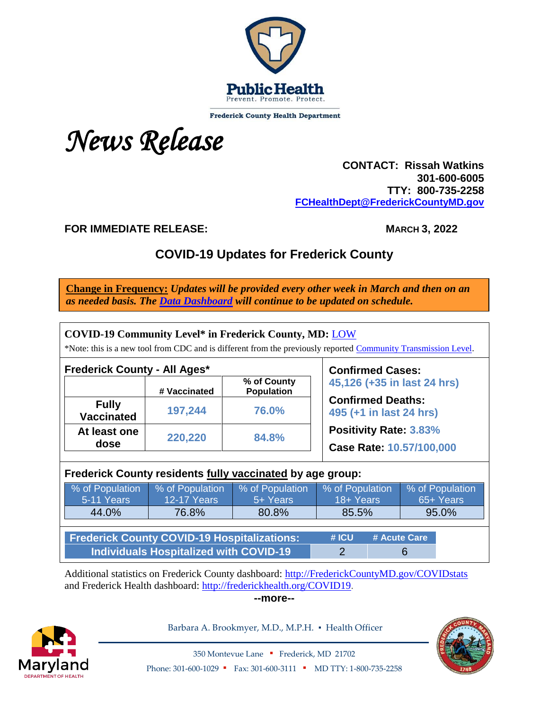

**Frederick County Health Department** 



 **CONTACT: Rissah Watkins 301-600-6005 TTY: 800-735-2258 [FCHealthDept@FrederickCountyMD.gov](mailto:FCHealthDept@FrederickCountyMD.gov)**

**FOR IMMEDIATE RELEASE: MARCH 3, 2022**

# **COVID-19 Updates for Frederick County**

**Change in Frequency:** *Updates will be provided every other week in March and then on an as needed basis. The [Data Dashboard](http://frederickcountymd.gov/COVIDstats) will continue to be updated on schedule.*

| <b>COVID-19 Community Level* in Frederick County, MD: LOW</b><br>*Note: this is a new tool from CDC and is different from the previously reported Community Transmission Level. |                         |                                  |                                                           |  |           |                 |  |  |  |
|---------------------------------------------------------------------------------------------------------------------------------------------------------------------------------|-------------------------|----------------------------------|-----------------------------------------------------------|--|-----------|-----------------|--|--|--|
| <b>Frederick County - All Ages*</b>                                                                                                                                             | <b>Confirmed Cases:</b> |                                  |                                                           |  |           |                 |  |  |  |
|                                                                                                                                                                                 | # Vaccinated            | % of County<br><b>Population</b> | 45,126 (+35 in last 24 hrs)                               |  |           |                 |  |  |  |
| <b>Fully</b><br><b>Vaccinated</b>                                                                                                                                               | 197,244                 | 76.0%                            | <b>Confirmed Deaths:</b><br>495 (+1 in last 24 hrs)       |  |           |                 |  |  |  |
| At least one<br>dose                                                                                                                                                            | 220,220                 | 84.8%                            | <b>Positivity Rate: 3.83%</b><br>Case Rate: 10.57/100,000 |  |           |                 |  |  |  |
| Frederick County residents fully vaccinated by age group:                                                                                                                       |                         |                                  |                                                           |  |           |                 |  |  |  |
| % of Population                                                                                                                                                                 | % of Population         | % of Population                  | % of Population                                           |  |           | % of Population |  |  |  |
| 5-11 Years                                                                                                                                                                      | <b>12-17 Years</b>      | 5+ Years                         | 18+ Years                                                 |  | 65+ Years |                 |  |  |  |
| 44.0%                                                                                                                                                                           | 76.8%                   | 80.8%                            | 85.5%                                                     |  | 95.0%     |                 |  |  |  |
|                                                                                                                                                                                 |                         |                                  |                                                           |  |           |                 |  |  |  |
| <b>Frederick County COVID-19 Hospitalizations:</b>                                                                                                                              | # ICU                   |                                  | # Acute Care                                              |  |           |                 |  |  |  |
| <b>Individuals Hospitalized with COVID-19</b>                                                                                                                                   | 2                       |                                  | 6                                                         |  |           |                 |  |  |  |

Additional statistics on Frederick County dashboard: [http://FrederickCountyMD.gov/COVIDstats](http://frederickcountymd.gov/COVIDstats) and Frederick Health dashboard: [http://frederickhealth.org/COVID19.](http://frederickhealth.org/COVID19)

**--more--**



Barbara A. Brookmyer, M.D., M.P.H. · Health Officer



350 Montevue Lane ▪ Frederick, MD 21702 Phone: 301-600-1029 • Fax: 301-600-3111 • MD TTY: 1-800-735-2258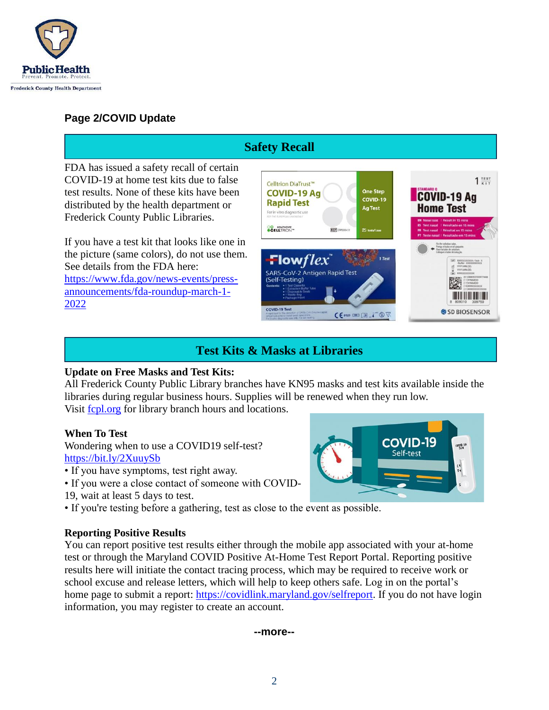

### **Page 2/COVID Update**

#### **Safety Recall**FDA has issued a safety recall of certain COVID-19 at home test kits due to false  $1 \frac{resr}{kr}$ Celltrion DiaTrust™ test results. None of these kits have been **COVID-19 Ag One Step COVID-19 Ag** COVID-19 **Rapid Test** distributed by the health department or **Home Test** Ag Test For in vitro diagnostic use Frederick County Public Libraries. **CO** HEALTRICARE **REF** If you have a test kit that looks like one in the picture (same colors), do not use them. Flow $flex$ See details from the FDA here: SARS-CoV-2 Antigen Rapid Test [https://www.fda.gov/news-events/press-](https://www.fda.gov/news-events/press-announcements/fda-roundup-march-1-2022)(Self-Testing) [announcements/fda-roundup-march-1-](https://www.fda.gov/news-events/press-announcements/fda-roundup-march-1-2022) [2022](https://www.fda.gov/news-events/press-announcements/fda-roundup-march-1-2022) COVID-19 Test SD BIOSENSOR  $C \in \mathbb{R}$  or  $\mathbb{R}$  and  $\mathbb{R}$  and  $\mathbb{R}$

# **Test Kits & Masks at Libraries**

### **Update on Free Masks and Test Kits:**

All Frederick County Public Library branches have KN95 masks and test kits available inside the libraries during regular business hours. Supplies will be renewed when they run low. Visit [fcpl.org](https://www.fcpl.org/) for library branch hours and locations.

#### **When To Test**

Wondering when to use a COVID19 self-test? <https://bit.ly/2XuuySb>

- If you have symptoms, test right away.
- If you were a close contact of someone with COVID-
- 19, wait at least 5 days to test.
- If you're testing before a gathering, test as close to the event as possible.

### **Reporting Positive Results**

You can report positive test results either through the mobile app associated with your at-home test or through the Maryland COVID Positive At-Home Test Report Portal. Reporting positive results here will initiate the contact tracing process, which may be required to receive work or school excuse and release letters, which will help to keep others safe. Log in on the portal's home page to submit a report: [https://covidlink.maryland.gov/selfreport.](https://covidlink.maryland.gov/selfreport) If you do not have login information, you may register to create an account.

#### **--more--**

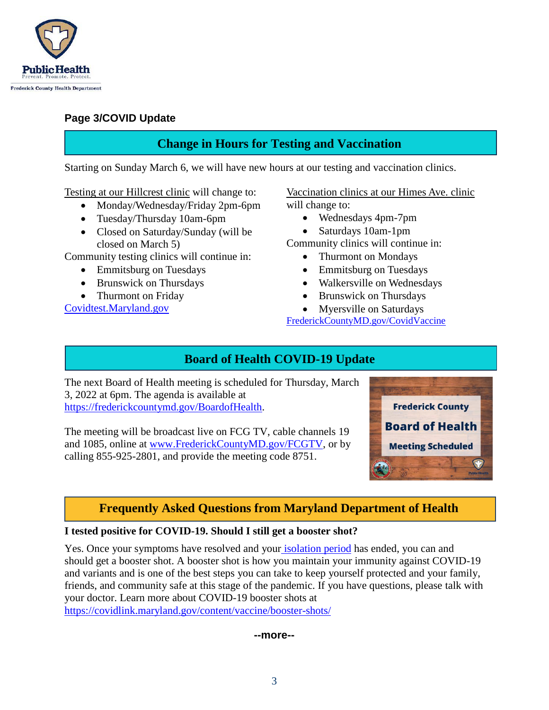

### **Page 3/COVID Update**

# **Change in Hours for Testing and Vaccination**

Starting on Sunday March 6, we will have new hours at our testing and vaccination clinics.

Testing at our Hillcrest clinic will change to:

- Monday/Wednesday/Friday 2pm-6pm
- Tuesday/Thursday 10am-6pm
- Closed on Saturday/Sunday (will be closed on March 5)

Community testing clinics will continue in:

- Emmitsburg on Tuesdays
- Brunswick on Thursdays
- Thurmont on Friday

[Covidtest.Maryland.gov](https://coronavirus.maryland.gov/pages/symptoms-testing)

Vaccination clinics at our Himes Ave. clinic will change to:

- Wednesdays 4pm-7pm
- Saturdays 10am-1pm

Community clinics will continue in:

- Thurmont on Mondays
- Emmitsburg on Tuesdays
- Walkersville on Wednesdays
- Brunswick on Thursdays
- Myersville on Saturdays

[FrederickCountyMD.gov/CovidVaccine](http://frederickcountymd.gov/covidvaccine)

# **Board of Health COVID-19 Update**

The next Board of Health meeting is scheduled for Thursday, March 3, 2022 at 6pm. The agenda is available at [https://frederickcountymd.gov/BoardofHealth.](https://frederickcountymd.gov/BoardofHealth)

The meeting will be broadcast live on FCG TV, cable channels 19 and 1085, online at [www.FrederickCountyMD.gov/FCGTV,](http://www.frederickcountymd.gov/FCGTV) or by calling 855-925-2801, and provide the meeting code 8751.



# **Frequently Asked Questions from Maryland Department of Health**

### **I tested positive for COVID-19. Should I still get a booster shot?**

Yes. Once your symptoms have resolved and your [isolation period](https://covidlink.maryland.gov/content/testing/if-you-test-positive/#info) has ended, you can and should get a booster shot. A booster shot is how you maintain your immunity against COVID-19 and variants and is one of the best steps you can take to keep yourself protected and your family, friends, and community safe at this stage of the pandemic. If you have questions, please talk with your doctor. Learn more about COVID-19 booster shots a[t](https://covidlink.maryland.gov/content/vaccine/booster-shots/) <https://covidlink.maryland.gov/content/vaccine/booster-shots/>

#### **--more--**